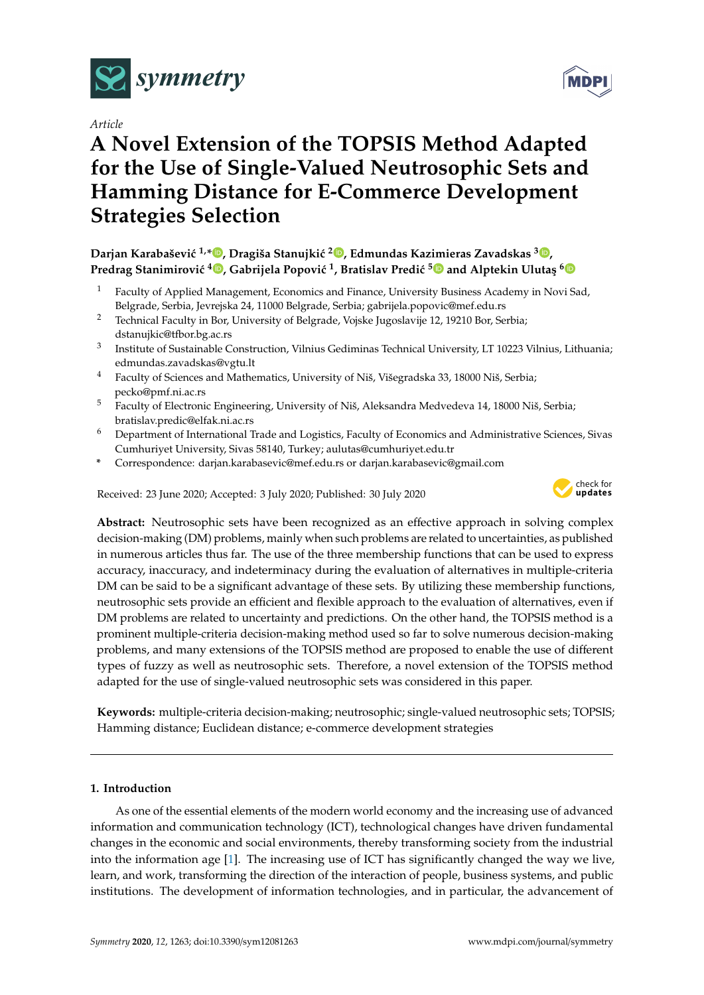

*Article*

# **A Novel Extension of the TOPSIS Method Adapted for the Use of Single-Valued Neutrosophic Sets and Hamming Distance for E-Commerce Development Strategies Selection**

# **Darjan Karabaševi´c 1,\* [,](https://orcid.org/0000-0001-5308-2503) Dragiša Stanujki´c <sup>2</sup> [,](https://orcid.org/0000-0002-6846-3074) Edmundas Kazimieras Zavadskas <sup>3</sup> [,](https://orcid.org/0000-0002-3201-949X) Predrag Stanimirovi´c <sup>4</sup> [,](https://orcid.org/0000-0003-0655-3741) Gabrijela Popovi´c <sup>1</sup> , Bratislav Predi´c [5](https://orcid.org/0000-0002-3679-5058) and Alptekin Uluta¸s [6](https://orcid.org/0000-0002-8130-1301)**

- <sup>1</sup> Faculty of Applied Management, Economics and Finance, University Business Academy in Novi Sad, Belgrade, Serbia, Jevrejska 24, 11000 Belgrade, Serbia; gabrijela.popovic@mef.edu.rs
- <sup>2</sup> Technical Faculty in Bor, University of Belgrade, Vojske Jugoslavije 12, 19210 Bor, Serbia; dstanujkic@tfbor.bg.ac.rs
- 3 Institute of Sustainable Construction, Vilnius Gediminas Technical University, LT 10223 Vilnius, Lithuania; edmundas.zavadskas@vgtu.lt
- <sup>4</sup> Faculty of Sciences and Mathematics, University of Niš, Višegradska 33, 18000 Niš, Serbia; pecko@pmf.ni.ac.rs
- <sup>5</sup> Faculty of Electronic Engineering, University of Niš, Aleksandra Medvedeva 14, 18000 Niš, Serbia; bratislav.predic@elfak.ni.ac.rs
- <sup>6</sup> Department of International Trade and Logistics, Faculty of Economics and Administrative Sciences, Sivas Cumhuriyet University, Sivas 58140, Turkey; aulutas@cumhuriyet.edu.tr
- **\*** Correspondence: darjan.karabasevic@mef.edu.rs or darjan.karabasevic@gmail.com

Received: 23 June 2020; Accepted: 3 July 2020; Published: 30 July 2020



**Abstract:** Neutrosophic sets have been recognized as an effective approach in solving complex decision-making (DM) problems, mainly when such problems are related to uncertainties, as published in numerous articles thus far. The use of the three membership functions that can be used to express accuracy, inaccuracy, and indeterminacy during the evaluation of alternatives in multiple-criteria DM can be said to be a significant advantage of these sets. By utilizing these membership functions, neutrosophic sets provide an efficient and flexible approach to the evaluation of alternatives, even if DM problems are related to uncertainty and predictions. On the other hand, the TOPSIS method is a prominent multiple-criteria decision-making method used so far to solve numerous decision-making problems, and many extensions of the TOPSIS method are proposed to enable the use of different types of fuzzy as well as neutrosophic sets. Therefore, a novel extension of the TOPSIS method adapted for the use of single-valued neutrosophic sets was considered in this paper.

**Keywords:** multiple-criteria decision-making; neutrosophic; single-valued neutrosophic sets; TOPSIS; Hamming distance; Euclidean distance; e-commerce development strategies

# **1. Introduction**

As one of the essential elements of the modern world economy and the increasing use of advanced information and communication technology (ICT), technological changes have driven fundamental changes in the economic and social environments, thereby transforming society from the industrial into the information age [\[1\]](#page-11-0). The increasing use of ICT has significantly changed the way we live, learn, and work, transforming the direction of the interaction of people, business systems, and public institutions. The development of information technologies, and in particular, the advancement of

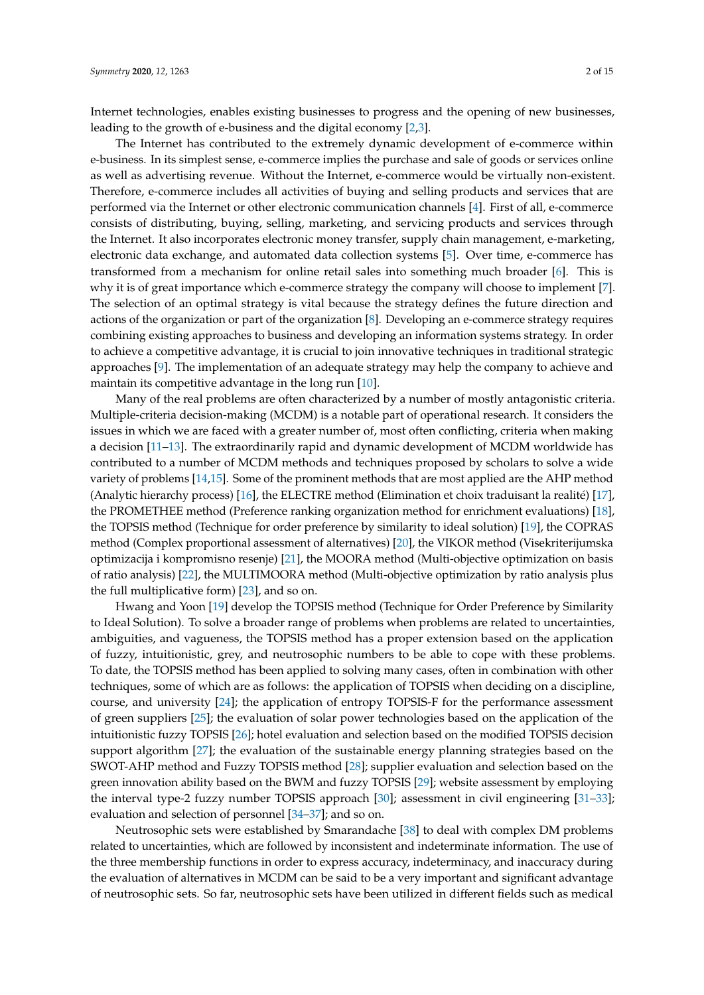Internet technologies, enables existing businesses to progress and the opening of new businesses, leading to the growth of e-business and the digital economy [\[2](#page-11-1)[,3\]](#page-11-2).

The Internet has contributed to the extremely dynamic development of e-commerce within e-business. In its simplest sense, e-commerce implies the purchase and sale of goods or services online as well as advertising revenue. Without the Internet, e-commerce would be virtually non-existent. Therefore, e-commerce includes all activities of buying and selling products and services that are performed via the Internet or other electronic communication channels [\[4\]](#page-11-3). First of all, e-commerce consists of distributing, buying, selling, marketing, and servicing products and services through the Internet. It also incorporates electronic money transfer, supply chain management, e-marketing, electronic data exchange, and automated data collection systems [\[5\]](#page-11-4). Over time, e-commerce has transformed from a mechanism for online retail sales into something much broader [\[6\]](#page-11-5). This is why it is of great importance which e-commerce strategy the company will choose to implement [\[7\]](#page-11-6). The selection of an optimal strategy is vital because the strategy defines the future direction and actions of the organization or part of the organization [\[8\]](#page-11-7). Developing an e-commerce strategy requires combining existing approaches to business and developing an information systems strategy. In order to achieve a competitive advantage, it is crucial to join innovative techniques in traditional strategic approaches [\[9\]](#page-11-8). The implementation of an adequate strategy may help the company to achieve and maintain its competitive advantage in the long run [\[10\]](#page-11-9).

Many of the real problems are often characterized by a number of mostly antagonistic criteria. Multiple-criteria decision-making (MCDM) is a notable part of operational research. It considers the issues in which we are faced with a greater number of, most often conflicting, criteria when making a decision [\[11–](#page-11-10)[13\]](#page-11-11). The extraordinarily rapid and dynamic development of MCDM worldwide has contributed to a number of MCDM methods and techniques proposed by scholars to solve a wide variety of problems [\[14,](#page-11-12)[15\]](#page-11-13). Some of the prominent methods that are most applied are the AHP method (Analytic hierarchy process) [\[16\]](#page-11-14), the ELECTRE method (Elimination et choix traduisant la realité) [\[17\]](#page-11-15), the PROMETHEE method (Preference ranking organization method for enrichment evaluations) [\[18\]](#page-11-16), the TOPSIS method (Technique for order preference by similarity to ideal solution) [\[19\]](#page-11-17), the COPRAS method (Complex proportional assessment of alternatives) [\[20\]](#page-11-18), the VIKOR method (Visekriterijumska optimizacija i kompromisno resenje) [\[21\]](#page-11-19), the MOORA method (Multi-objective optimization on basis of ratio analysis) [\[22\]](#page-11-20), the MULTIMOORA method (Multi-objective optimization by ratio analysis plus the full multiplicative form) [\[23\]](#page-12-0), and so on.

Hwang and Yoon [\[19\]](#page-11-17) develop the TOPSIS method (Technique for Order Preference by Similarity to Ideal Solution). To solve a broader range of problems when problems are related to uncertainties, ambiguities, and vagueness, the TOPSIS method has a proper extension based on the application of fuzzy, intuitionistic, grey, and neutrosophic numbers to be able to cope with these problems. To date, the TOPSIS method has been applied to solving many cases, often in combination with other techniques, some of which are as follows: the application of TOPSIS when deciding on a discipline, course, and university [\[24\]](#page-12-1); the application of entropy TOPSIS-F for the performance assessment of green suppliers [\[25\]](#page-12-2); the evaluation of solar power technologies based on the application of the intuitionistic fuzzy TOPSIS [\[26\]](#page-12-3); hotel evaluation and selection based on the modified TOPSIS decision support algorithm [\[27\]](#page-12-4); the evaluation of the sustainable energy planning strategies based on the SWOT-AHP method and Fuzzy TOPSIS method [\[28\]](#page-12-5); supplier evaluation and selection based on the green innovation ability based on the BWM and fuzzy TOPSIS [\[29\]](#page-12-6); website assessment by employing the interval type-2 fuzzy number TOPSIS approach [\[30\]](#page-12-7); assessment in civil engineering [\[31](#page-12-8)[–33\]](#page-12-9); evaluation and selection of personnel [\[34–](#page-12-10)[37\]](#page-12-11); and so on.

Neutrosophic sets were established by Smarandache [\[38\]](#page-12-12) to deal with complex DM problems related to uncertainties, which are followed by inconsistent and indeterminate information. The use of the three membership functions in order to express accuracy, indeterminacy, and inaccuracy during the evaluation of alternatives in MCDM can be said to be a very important and significant advantage of neutrosophic sets. So far, neutrosophic sets have been utilized in different fields such as medical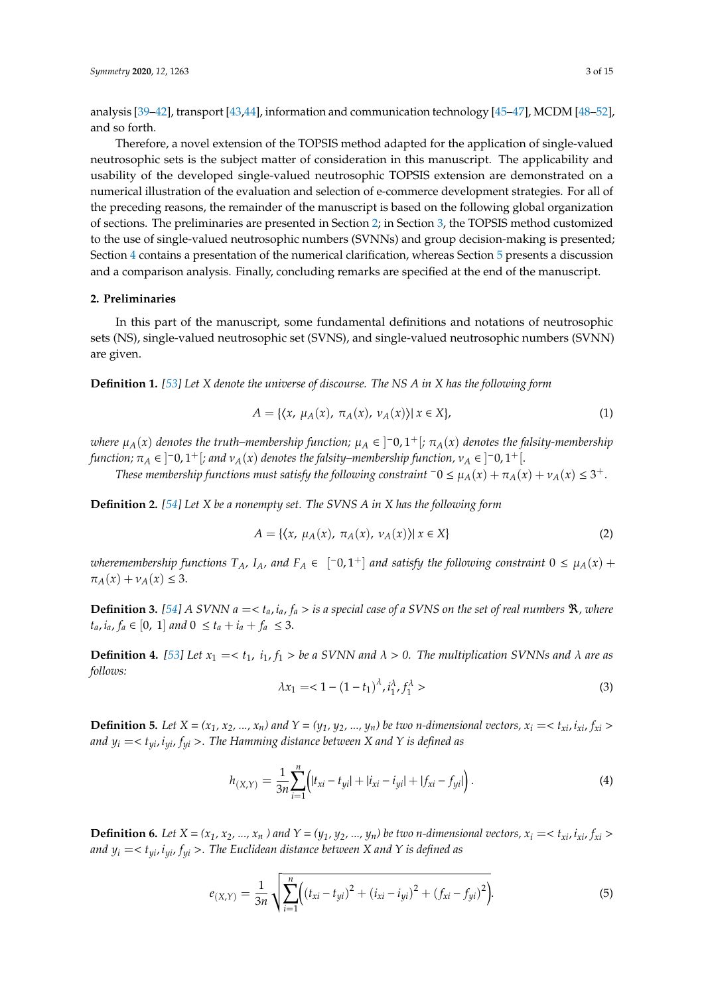analysis [\[39–](#page-12-13)[42\]](#page-12-14), transport [\[43,](#page-12-15)[44\]](#page-12-16), information and communication technology [\[45–](#page-12-17)[47\]](#page-13-0), MCDM [\[48](#page-13-1)[–52\]](#page-13-2), and so forth.

Therefore, a novel extension of the TOPSIS method adapted for the application of single-valued neutrosophic sets is the subject matter of consideration in this manuscript. The applicability and usability of the developed single-valued neutrosophic TOPSIS extension are demonstrated on a numerical illustration of the evaluation and selection of e-commerce development strategies. For all of the preceding reasons, the remainder of the manuscript is based on the following global organization of sections. The preliminaries are presented in Section [2;](#page-2-0) in Section [3,](#page-3-0) the TOPSIS method customized to the use of single-valued neutrosophic numbers (SVNNs) and group decision-making is presented; Section [4](#page-7-0) contains a presentation of the numerical clarification, whereas Section [5](#page-8-0) presents a discussion and a comparison analysis. Finally, concluding remarks are specified at the end of the manuscript.

#### <span id="page-2-0"></span>**2. Preliminaries**

In this part of the manuscript, some fundamental definitions and notations of neutrosophic sets (NS), single-valued neutrosophic set (SVNS), and single-valued neutrosophic numbers (SVNN) are given.

**Definition 1.** *[\[53\]](#page-13-3) Let X denote the universe of discourse. The NS A in X has the following form*

$$
A = \{ \langle x, \mu_A(x), \pi_A(x), \nu_A(x) \rangle | \ x \in X \},\tag{1}
$$

 $\omega$ here  $\mu_A(x)$  denotes the truth–membership function;  $\mu_A \in \ ]^+0,1^+[; \ \pi_A(x)$  denotes the falsity-membership *function;*  $\pi_A \in \left]$   $^-0, 1^+\right[$ ; and  $v_A(x)$  denotes the falsity–membership function,  $v_A \in \left]$   $^-0, 1^+\right[$ .

*These membership functions must satisfy the following constraint*  $\bar{0} \leq \mu_A(x) + \pi_A(x) + \nu_A(x) \leq 3^+$ .

**Definition 2.** *[\[54\]](#page-13-4) Let X be a nonempty set. The SVNS A in X has the following form*

$$
A = \{ \langle x, \mu_A(x), \pi_A(x), \nu_A(x) \rangle | x \in X \}
$$
 (2)

 $\omega$ heremembership functions  $T_A$ ,  $I_A$ , and  $F_A \in [-0, 1^+]$  and satisfy the following constraint  $0 \leq \mu_A(x) +$  $\pi_A(x) + \nu_A(x) \leq 3.$ 

**Definition 3.** [\[54\]](#page-13-4) A SVNN  $a = \langle t_a, i_a, f_a \rangle$  is a special case of a SVNS on the set of real numbers  $\Re$ , where *t*<sub>a</sub>, *i*<sub>a</sub>, *f*<sub>a</sub>  $\in$  [0, 1] *and*  $0 \le t_a + i_a + f_a \le 3$ .

**Definition 4.** [\[53\]](#page-13-3) Let  $x_1 = < t_1$ ,  $i_1$ ,  $f_1 >$  be a SVNN and  $\lambda > 0$ . The multiplication SVNNs and  $\lambda$  are as *follows:*

$$
\lambda x_1 = 1 - (1 - t_1)^{\lambda}, i_1^{\lambda}, f_1^{\lambda} > 1
$$
 (3)

**Definition 5.** Let  $X = (x_1, x_2, ..., x_n)$  and  $Y = (y_1, y_2, ..., y_n)$  be two n-dimensional vectors,  $x_i = \langle x_i, i_{xi}, f_{xi} \rangle$ *and*  $y_i = \langle t_{\nu i}, i_{\nu i}, f_{\nu i} \rangle$ . The Hamming distance between X and Y is defined as

$$
h_{(X,Y)} = \frac{1}{3n} \sum_{i=1}^{n} \Bigl( |t_{xi} - t_{yi}| + |i_{xi} - i_{yi}| + |f_{xi} - f_{yi}| \Bigr).
$$
 (4)

**Definition 6.** Let  $X = (x_1, x_2, ..., x_n)$  and  $Y = (y_1, y_2, ..., y_n)$  be two n-dimensional vectors,  $x_i = \langle x_i, i_{xi}, f_{xi} \rangle$ *and*  $y_i = \langle t_{\nu i}, i_{\nu i}, f_{\nu i} \rangle$ . The Euclidean distance between X and Y is defined as

$$
e_{(X,Y)} = \frac{1}{3n} \sqrt{\sum_{i=1}^{n} \left( (t_{xi} - t_{yi})^2 + (i_{xi} - i_{yi})^2 + (f_{xi} - f_{yi})^2 \right)}. \tag{5}
$$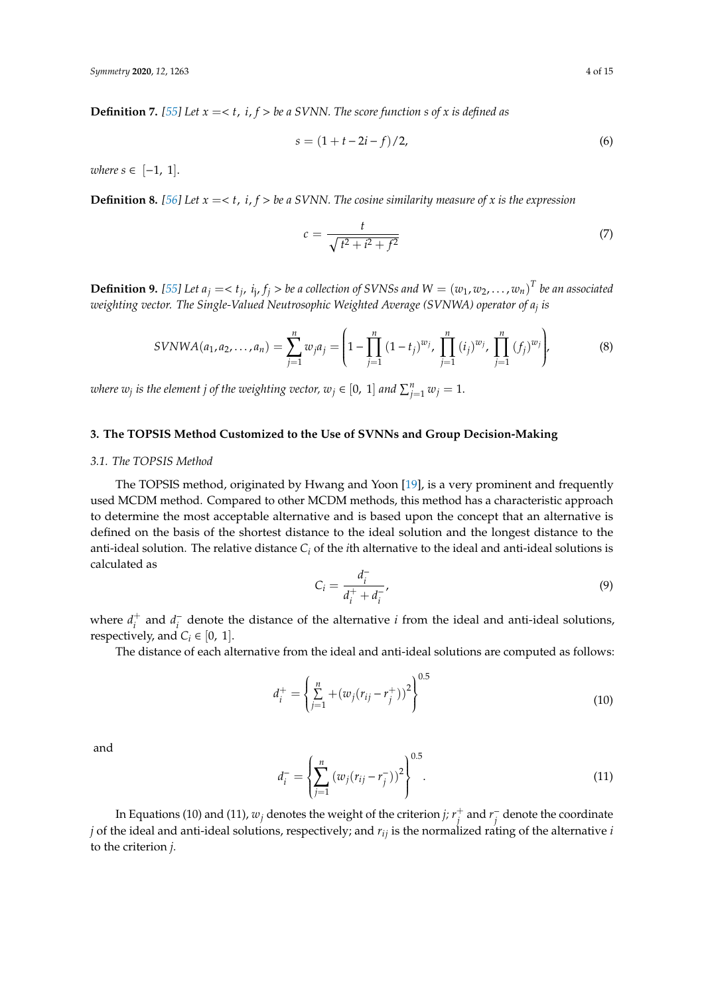**Definition 7.** [\[55\]](#page-13-5) Let  $x = < t$ ,  $i$ ,  $f > be$  a SVNN. The score function s of x is defined as

$$
s = (1 + t - 2i - f)/2,
$$
\n(6)

 $where s ∈ [-1, 1].$ 

**Definition 8.** [\[56\]](#page-13-6) Let  $x = < t$ , *i*,  $f > be$  a SVNN. The cosine similarity measure of x is the expression

$$
c = \frac{t}{\sqrt{t^2 + i^2 + f^2}}
$$
\n(7)

**Definition 9.** [\[55\]](#page-13-5) Let  $a_j = < t_j$ ,  $i_j$ ,  $f_j >$  be a collection of SVNSs and  $W = (w_1, w_2, \ldots, w_n)^T$  be an associated *weighting vector. The Single-Valued Neutrosophic Weighted Average (SVNWA) operator of a<sup>j</sup> is*

$$
SVNWA(a_1, a_2, \dots, a_n) = \sum_{j=1}^n w_j a_j = \left(1 - \prod_{j=1}^n (1 - t_j)^{w_j}, \prod_{j=1}^n (i_j)^{w_j}, \prod_{j=1}^n (f_j)^{w_j}\right),
$$
(8)

*where*  $w_j$  *is the element j of the weighting vector,*  $w_j \in [0, 1]$  *and*  $\sum_{j=1}^n w_j = 1$ *.* 

# <span id="page-3-0"></span>**3. The TOPSIS Method Customized to the Use of SVNNs and Group Decision-Making**

#### *3.1. The TOPSIS Method*

The TOPSIS method, originated by Hwang and Yoon [\[19\]](#page-11-17), is a very prominent and frequently used MCDM method. Compared to other MCDM methods, this method has a characteristic approach to determine the most acceptable alternative and is based upon the concept that an alternative is defined on the basis of the shortest distance to the ideal solution and the longest distance to the anti-ideal solution. The relative distance *C<sup>i</sup>* of the *i*th alternative to the ideal and anti-ideal solutions is calculated as −

$$
C_i = \frac{d_i^-}{d_i^+ + d_i^-'},\tag{9}
$$

where  $d_i^+$  $i^+$  and  $d_i^$ *i* denote the distance of the alternative *i* from the ideal and anti-ideal solutions, respectively, and  $C_i \in [0, 1]$ .

The distance of each alternative from the ideal and anti-ideal solutions are computed as follows:

$$
d_i^+ = \left\{ \sum_{j=1}^n + (w_j(r_{ij} - r_j^+))^2 \right\}^{0.5}
$$
\n(10)

and

$$
d_i^- = \left\{ \sum_{j=1}^n \left( w_j (r_{ij} - r_j^-) \right)^2 \right\}^{0.5}.
$$
\n(11)

In Equations (10) and (11),  $w_j$  denotes the weight of the criterion *j;*  $r_j^+$  $\frac{1}{j}$  and  $r_j^$ *j* denote the coordinate *j* of the ideal and anti-ideal solutions, respectively; and *rij* is the normalized rating of the alternative *i* to the criterion *j.*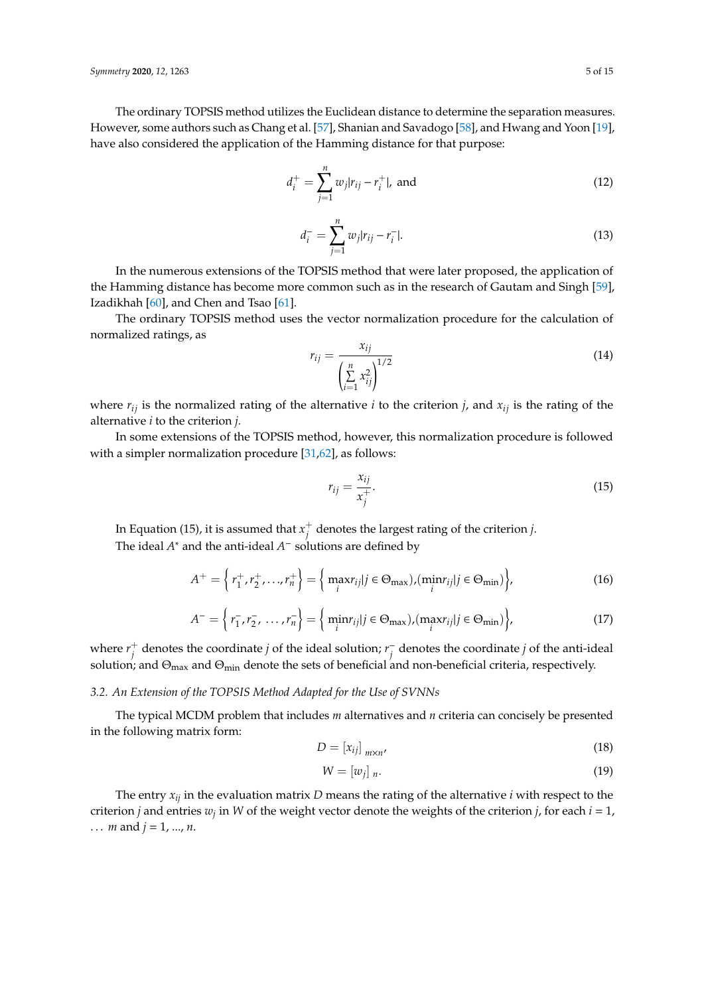The ordinary TOPSIS method utilizes the Euclidean distance to determine the separation measures. However, some authors such as Chang et al. [\[57\]](#page-13-7), Shanian and Savadogo [\[58\]](#page-13-8), and Hwang and Yoon [\[19\]](#page-11-17), have also considered the application of the Hamming distance for that purpose:

$$
d_i^+ = \sum_{j=1}^n w_j |r_{ij} - r_i^+|, \text{ and } \tag{12}
$$

$$
d_i^- = \sum_{j=1}^n w_j |r_{ij} - r_i^-|.
$$
\n(13)

In the numerous extensions of the TOPSIS method that were later proposed, the application of the Hamming distance has become more common such as in the research of Gautam and Singh [\[59\]](#page-13-9), Izadikhah [\[60\]](#page-13-10), and Chen and Tsao [\[61\]](#page-13-11).

The ordinary TOPSIS method uses the vector normalization procedure for the calculation of normalized ratings, as

$$
r_{ij} = \frac{x_{ij}}{\left(\sum_{i=1}^{n} x_{ij}^2\right)^{1/2}}
$$
 (14)

where  $r_{ij}$  is the normalized rating of the alternative *i* to the criterion *j*, and  $x_{ij}$  is the rating of the alternative *i* to the criterion *j.*

In some extensions of the TOPSIS method, however, this normalization procedure is followed with a simpler normalization procedure [\[31,](#page-12-8)[62\]](#page-13-12), as follows:

$$
r_{ij} = \frac{x_{ij}}{x_j^+}.\tag{15}
$$

In Equation (15), it is assumed that  $x_i^+$ *j* denotes the largest rating of the criterion *j*. The ideal *A* <sup>∗</sup> and the anti-ideal *A* <sup>−</sup> solutions are defined by

$$
A^{+} = \left\{ r_1^+, r_2^+, \dots, r_n^+ \right\} = \left\{ \max_{i} r_{ij} | j \in \Theta_{\text{max}} \right), (\min_{i} r_{ij} | j \in \Theta_{\text{min}}) \right\},
$$
(16)

$$
A^{-} = \left\{ r_1^-, r_2^-, \dots, r_n^- \right\} = \left\{ \min_i r_{ij} | j \in \Theta_{\text{max}} \right), \left( \max_i r_{ij} | j \in \Theta_{\text{min}} \right) \right\},\tag{17}
$$

where  $r_i^+$  $j$ <sup>+</sup> denotes the coordinate *j* of the ideal solution; *r*<sup> $j$ </sup><sub>*j*</sub> *j* denotes the coordinate *j* of the anti-ideal solution; and  $\Theta_{\text{max}}$  and  $\Theta_{\text{min}}$  denote the sets of beneficial and non-beneficial criteria, respectively.

# *3.2. An Extension of the TOPSIS Method Adapted for the Use of SVNNs*

The typical MCDM problem that includes *m* alternatives and *n* criteria can concisely be presented in the following matrix form:

$$
D = \left[x_{ij}\right]_{m \times n'}\tag{18}
$$

$$
W = [w_j]_n. \tag{19}
$$

The entry *xij* in the evaluation matrix *D* means the rating of the alternative *i* with respect to the criterion *j* and entries  $w_j$  in *W* of the weight vector denote the weights of the criterion *j*, for each  $i = 1$ , ... *m* and  $j = 1, ..., n$ .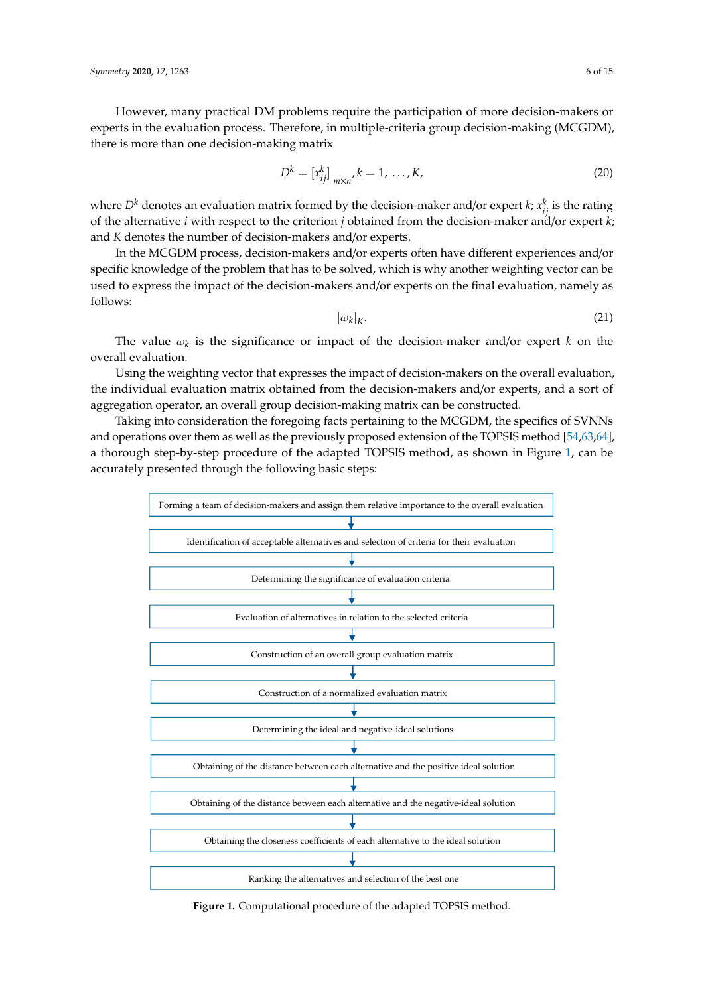However, many practical DM problems require the participation of more decision-makers or experts in the evaluation process. Therefore, in multiple-criteria group decision-making (MCGDM), there is more than one decision-making matrix

$$
D^{k} = [x_{ij}^{k}]_{m \times n'} k = 1, ..., K,
$$
\n(20)

where  $D^k$  denotes an evaluation matrix formed by the decision-maker and/or expert  $k$ ;  $x_{ij}^k$  is the rating of the alternative *i* with respect to the criterion *j* obtained from the decision-maker and/or expert *k*; and *K* denotes the number of decision-makers and/or experts.

In the MCGDM process, decision-makers and/or experts often have different experiences and/or specific knowledge of the problem that has to be solved, which is why another weighting vector can be used to express the impact of the decision-makers and/or experts on the final evaluation, namely as follows:

$$
[\omega_k]_K. \tag{21}
$$

The value  $\omega_k$  is the significance or impact of the decision-maker and/or expert  $k$  on the overall evaluation.

Using the weighting vector that expresses the impact of decision-makers on the overall evaluation, the individual evaluation matrix obtained from the decision-makers and/or experts, and a sort of aggregation operator, an overall group decision-making matrix can be constructed.

Taking into consideration the foregoing facts pertaining to the MCGDM, the specifics of SVNNs and operations over them as well as the previously proposed extension of the TOPSIS method [\[54](#page-13-4)[,63](#page-13-13)[,64\]](#page-13-14), a thorough step-by-step procedure of the adapted TOPSIS method, as shown in Figure [1,](#page-5-0) can be accurately presented through the following basic steps:

<span id="page-5-0"></span>

**Figure 1.** Computational procedure of the adapted TOPSIS method. **Figure 1.** Computational procedure of the adapted TOPSIS method.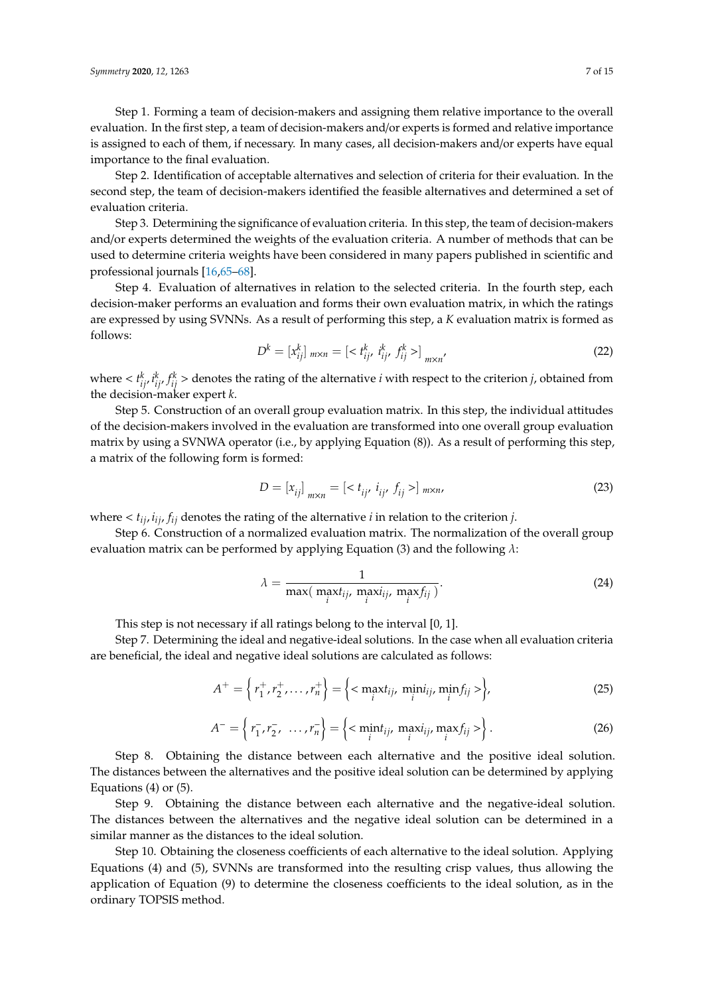Step 1. Forming a team of decision-makers and assigning them relative importance to the overall evaluation. In the first step, a team of decision-makers and/or experts is formed and relative importance is assigned to each of them, if necessary. In many cases, all decision-makers and/or experts have equal importance to the final evaluation.

Step 2. Identification of acceptable alternatives and selection of criteria for their evaluation. In the second step, the team of decision-makers identified the feasible alternatives and determined a set of evaluation criteria.

Step 3. Determining the significance of evaluation criteria. In this step, the team of decision-makers and/or experts determined the weights of the evaluation criteria. A number of methods that can be used to determine criteria weights have been considered in many papers published in scientific and professional journals [\[16](#page-11-14)[,65](#page-13-15)[–68\]](#page-13-16).

Step 4. Evaluation of alternatives in relation to the selected criteria. In the fourth step, each decision-maker performs an evaluation and forms their own evaluation matrix, in which the ratings are expressed by using SVNNs. As a result of performing this step, a *K* evaluation matrix is formed as follows:

$$
D^{k} = [x_{ij}^{k}]_{m \times n} = [ \langle t_{ij}^{k}, t_{ij}^{k}, f_{ij}^{k} \rangle ]_{m \times n'}
$$
 (22)

where  $\langle t_{ij}^k, t_{ij}^k, f_{ij}^k \rangle$  denotes the rating of the alternative *i* with respect to the criterion *j*, obtained from the decision-maker expert *k*.

Step 5. Construction of an overall group evaluation matrix. In this step, the individual attitudes of the decision-makers involved in the evaluation are transformed into one overall group evaluation matrix by using a SVNWA operator (i.e., by applying Equation (8)). As a result of performing this step, a matrix of the following form is formed:

$$
D = [x_{ij}]_{m \times n} = [ \langle t_{ij}, \, i_{ij}, \, f_{ij} \rangle ]_{m \times n}, \tag{23}
$$

where  $lt$   $t_{ij}$ ,  $i_{ij}$ ,  $f_{ij}$  denotes the rating of the alternative *i* in relation to the criterion *j*.

Step 6. Construction of a normalized evaluation matrix. The normalization of the overall group evaluation matrix can be performed by applying Equation (3) and the following  $\lambda$ :

$$
\lambda = \frac{1}{\max(\max_i t_{ij}, \max_i t_{ij}, \max_i t_{ij})}.
$$
\n(24)

This step is not necessary if all ratings belong to the interval [0, 1].

Step 7. Determining the ideal and negative-ideal solutions. In the case when all evaluation criteria are beneficial, the ideal and negative ideal solutions are calculated as follows:

$$
A^{+} = \left\{ r_{1}^{+}, r_{2}^{+}, \ldots, r_{n}^{+} \right\} = \left\{ \langle \max_{i} t_{ij}, \min_{i} i_{ij}, \min_{i} f_{ij} \rangle \right\},
$$
(25)

$$
A^{-} = \left\{ r_{1}^{-}, r_{2}^{-}, \ldots, r_{n}^{-} \right\} = \left\{ \langle \min_{i} t_{ij}, \max_{i} i_{ij}, \max_{i} f_{ij} \rangle \right\}.
$$
 (26)

Step 8. Obtaining the distance between each alternative and the positive ideal solution. The distances between the alternatives and the positive ideal solution can be determined by applying Equations (4) or (5).

Step 9. Obtaining the distance between each alternative and the negative-ideal solution. The distances between the alternatives and the negative ideal solution can be determined in a similar manner as the distances to the ideal solution.

Step 10. Obtaining the closeness coefficients of each alternative to the ideal solution. Applying Equations (4) and (5), SVNNs are transformed into the resulting crisp values, thus allowing the application of Equation (9) to determine the closeness coefficients to the ideal solution, as in the ordinary TOPSIS method.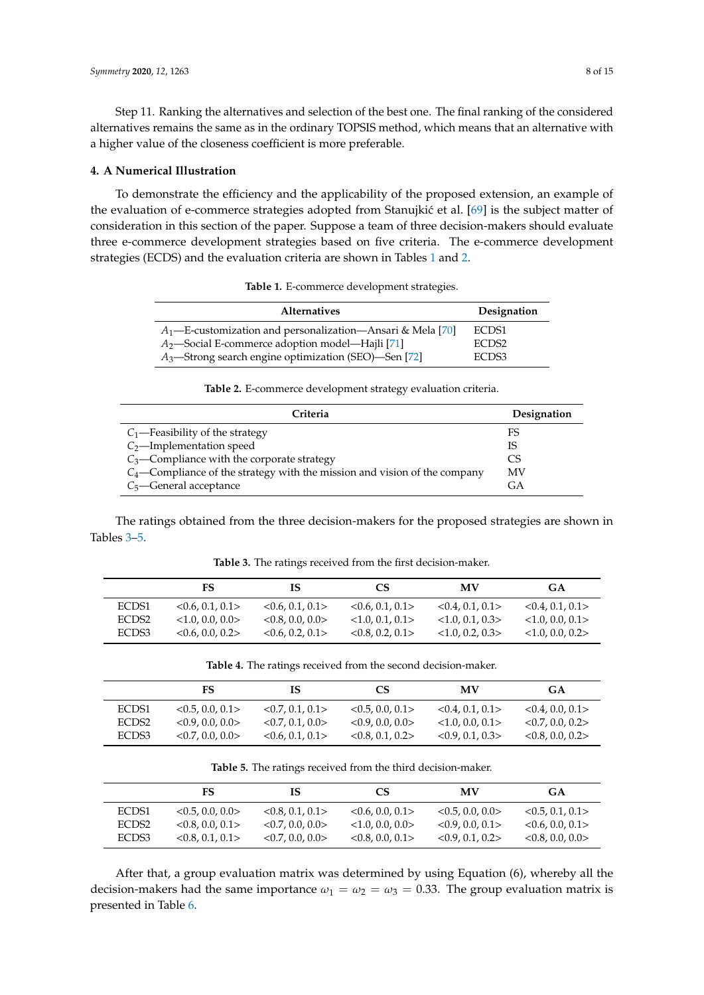Step 11. Ranking the alternatives and selection of the best one. The final ranking of the considered alternatives remains the same as in the ordinary TOPSIS method, which means that an alternative with a higher value of the closeness coefficient is more preferable.

#### <span id="page-7-0"></span>**4. A Numerical Illustration**

To demonstrate the efficiency and the applicability of the proposed extension, an example of the evaluation of e-commerce strategies adopted from Stanujkić et al. [\[69\]](#page-13-17) is the subject matter of consideration in this section of the paper. Suppose a team of three decision-makers should evaluate three e-commerce development strategies based on five criteria. The e-commerce development strategies (ECDS) and the evaluation criteria are shown in Tables [1](#page-7-1) and [2.](#page-7-2)

|  | Table 1. E-commerce development strategies. |  |  |  |
|--|---------------------------------------------|--|--|--|
|--|---------------------------------------------|--|--|--|

<span id="page-7-1"></span>

| <b>Alternatives</b>                                           | Designation       |
|---------------------------------------------------------------|-------------------|
| $A_1$ —E-customization and personalization—Ansari & Mela [70] | ECDS1             |
| A <sub>2</sub> —Social E-commerce adoption model—Hajli [71]   | ECDS <sub>2</sub> |
| $A_3$ —Strong search engine optimization (SEO)—Sen [72]       | ECDS3             |

**Table 2.** E-commerce development strategy evaluation criteria.

<span id="page-7-2"></span>

| Criteria                                                                     | Designation |
|------------------------------------------------------------------------------|-------------|
| $C_1$ —Feasibility of the strategy                                           | FS          |
| $C_2$ —Implementation speed                                                  | IS          |
| $C_3$ —Compliance with the corporate strategy                                | CS          |
| $C_4$ —Compliance of the strategy with the mission and vision of the company | MV          |
| $C_5$ —General acceptance                                                    | GА          |

The ratings obtained from the three decision-makers for the proposed strategies are shown in Tables [3](#page-7-3)[–5.](#page-7-4)

**Table 3.** The ratings received from the first decision-maker.

<span id="page-7-3"></span>

|                   | FS                  | IS                  | CS              | MV                | GA                |
|-------------------|---------------------|---------------------|-----------------|-------------------|-------------------|
| ECDS1             | $<$ 0.6, 0.1, 0.1 > | < 0.6, 0.1, 0.1 >   | <0.6, 0.1, 0.1> | < 0.4, 0.1, 0.1 > | < 0.4, 0.1, 0.1 > |
| ECDS <sub>2</sub> | <1.0, 0.0, 0.0>     | $<$ 0.8, 0.0, 0.0 > | <1.0, 0.1, 0.1> | <1.0.0.1.0.3>     | <1.0, 0.0, 0.1>   |
| ECDS3             | $<$ 0.6, 0.0, 0.2 > | $<$ 0.6, 0.2, 0.1 > | < 0.8, 0.2, 0.1 | <1.0, 0.2, 0.3>   | <1.0, 0.0, 0.2>   |

**Table 4.** The ratings received from the second decision-maker.

|                   | FS                    | IS                    | CS                  | <b>MV</b>           | <b>GA</b>             |
|-------------------|-----------------------|-----------------------|---------------------|---------------------|-----------------------|
| ECDS1             | $<$ 0.5, 0.0, 0.1 >   | $<$ 0.7, 0.1, 0.1 >   | < 0.5, 0.0, 0.1     | < 0.4, 0.1, 0.1 >   | $<$ 0.4, 0.0, 0.1 >   |
| ECDS <sub>2</sub> | $<$ 0.9, 0.0, 0.0 $>$ | $<$ 0.7, 0.1, 0.0 $>$ | <0.9, 0.0, 0.0>     | <1.0, 0.0, 0.1>     | $<$ 0.7, 0.0, 0.2 $>$ |
| ECDS3             | $<$ 0.7, 0.0, 0.0 $>$ | < 0.6, 0.1, 0.1 >     | $<$ 0.8, 0.1, 0.2 > | $<$ 0.9, 0.1, 0.3 > | $<$ 0.8, 0.0, 0.2 $>$ |

**Table 5.** The ratings received from the third decision-maker.

<span id="page-7-4"></span>

|                   | FS                    | IS                    | CS                    | MV                    | GA                  |
|-------------------|-----------------------|-----------------------|-----------------------|-----------------------|---------------------|
| ECDS1             | $<$ 0.5, 0.0, 0.0 $>$ | $<$ 0.8, 0.1, 0.1 >   | $<$ 0.6, 0.0, 0.1 >   | $<$ 0.5, 0.0, 0.0 $>$ | $<$ 0.5, 0.1, 0.1 > |
| ECDS <sub>2</sub> | $<$ 0.8, 0.0, 0.1 >   | $<$ 0.7, 0.0, 0.0 $>$ | $<$ 1.0, 0.0, 0.0 $>$ | $<$ 0.9, 0.0, 0.1 >   | $<$ 0.6, 0.0, 0.1 > |
| ECDS3             | $<$ 0.8, 0.1, 0.1 >   | $<$ 0.7, 0.0, 0.0 $>$ | $<$ 0.8, 0.0, 0.1 >   | $<$ 0.9, 0.1, 0.2 >   | $<$ 0.8, 0.0, 0.0 > |

After that, a group evaluation matrix was determined by using Equation (6), whereby all the decision-makers had the same importance  $\omega_1 = \omega_2 = \omega_3 = 0.33$ . The group evaluation matrix is presented in Table [6.](#page-8-1)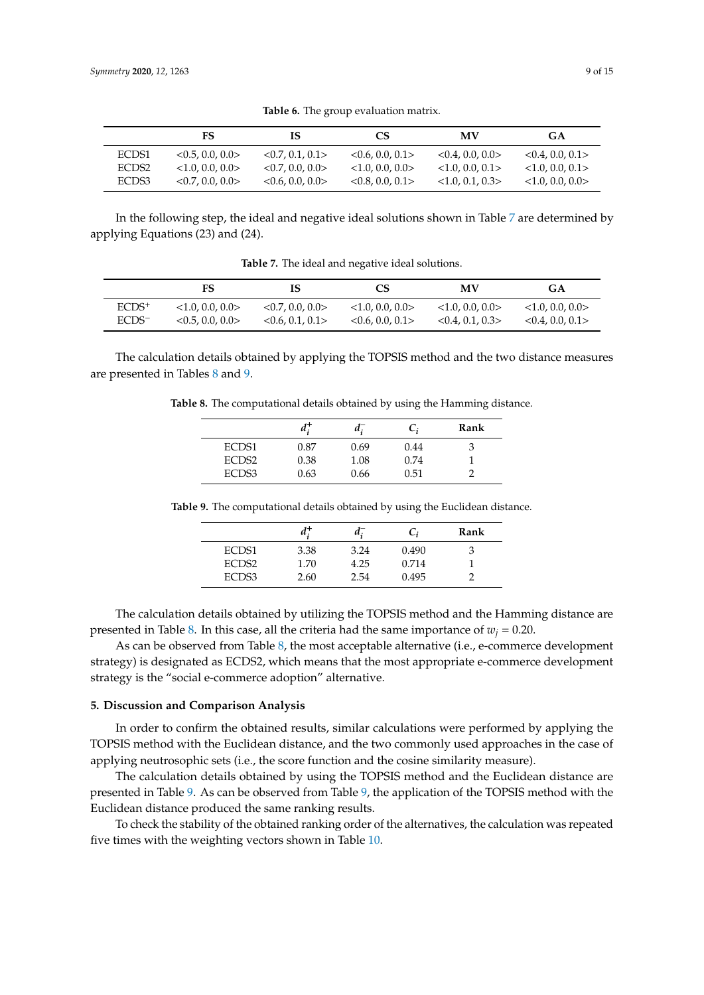<span id="page-8-1"></span>

|                   | FS                  | -15                   | <b>CS</b>             | MV                | <b>GA</b>           |
|-------------------|---------------------|-----------------------|-----------------------|-------------------|---------------------|
| ECDS1             | < 0.5, 0.0, 0.0 >   | $<$ 0.7, 0.1, 0.1 >   | <0.6, 0.0, 0.1>       | < 0.4, 0.0, 0.0 > | < 0.4, 0.0, 0.1     |
| ECDS <sub>2</sub> | <1.0, 0.0, 0.0>     | $<$ 0.7, 0.0, 0.0 $>$ | $<$ 1.0, 0.0, 0.0 $>$ | <1.0, 0.0, 0.1>   | $<$ 1.0.0.0.0.1 $>$ |
| ECDS3             | $<$ 0.7, 0.0, 0.0 > | $<$ 0.6, 0.0, 0.0 >   | $<$ 0.8, 0.0, 0.1 >   | <1.0.0.1.0.3>     | $<$ 1.0.0.0.0.0 $>$ |

**Table 6.** The group evaluation matrix.

In the following step, the ideal and negative ideal solutions shown in Table [7](#page-8-2) are determined by applying Equations (23) and (24).

| <b>Table 7.</b> The ideal and negative ideal solutions. |
|---------------------------------------------------------|
|                                                         |

<span id="page-8-2"></span>

|                   | FS                | IS                  | CS                  | MV                    | <b>GA</b>           |
|-------------------|-------------------|---------------------|---------------------|-----------------------|---------------------|
| $ECDS+$           | <1.0, 0.0, 0.0>   | < 0.7, 0.0, 0.0 >   | $<$ 1.0.0.0.0.0 $>$ | $<$ 1.0, 0.0, 0.0 $>$ | $<$ 1.0.0.0.0.0 $>$ |
| ECDS <sup>-</sup> | < 0.5, 0.0, 0.0 > | $<$ 0.6, 0.1, 0.1 > | < 0.6, 0.0, 0.1     | < 0.4, 0.1, 0.3       | < 0.4, 0.0, 0.1     |

<span id="page-8-3"></span>The calculation details obtained by applying the TOPSIS method and the two distance measures are presented in Tables [8](#page-8-3) and [9.](#page-8-4)

**Table 8.** The computational details obtained by using the Hamming distance.

|                   | и.   | a.   |      | Rank |
|-------------------|------|------|------|------|
| ECDS1             | 0.87 | 0.69 | 0.44 |      |
| ECDS <sub>2</sub> | 0.38 | 1.08 | 0.74 |      |
| ECDS3             | 0.63 | 0.66 | 0.51 |      |

| a:   | a. | C,                   | Rank                    |
|------|----|----------------------|-------------------------|
| 3.38 |    |                      | 3                       |
| 1.70 |    |                      |                         |
| 2.60 |    |                      |                         |
|      |    | 3.24<br>4.25<br>2.54 | 0.490<br>0.714<br>0.495 |

<span id="page-8-4"></span>**Table 9.** The computational details obtained by using the Euclidean distance.

The calculation details obtained by utilizing the TOPSIS method and the Hamming distance are presented in Table [8.](#page-8-3) In this case, all the criteria had the same importance of  $w_i = 0.20$ .

As can be observed from Table [8,](#page-8-3) the most acceptable alternative (i.e., e-commerce development strategy) is designated as ECDS2, which means that the most appropriate e-commerce development strategy is the "social e-commerce adoption" alternative.

#### <span id="page-8-0"></span>**5. Discussion and Comparison Analysis**

In order to confirm the obtained results, similar calculations were performed by applying the TOPSIS method with the Euclidean distance, and the two commonly used approaches in the case of applying neutrosophic sets (i.e., the score function and the cosine similarity measure).

The calculation details obtained by using the TOPSIS method and the Euclidean distance are presented in Table [9.](#page-8-4) As can be observed from Table [9,](#page-8-4) the application of the TOPSIS method with the Euclidean distance produced the same ranking results.

To check the stability of the obtained ranking order of the alternatives, the calculation was repeated five times with the weighting vectors shown in Table [10.](#page-9-0)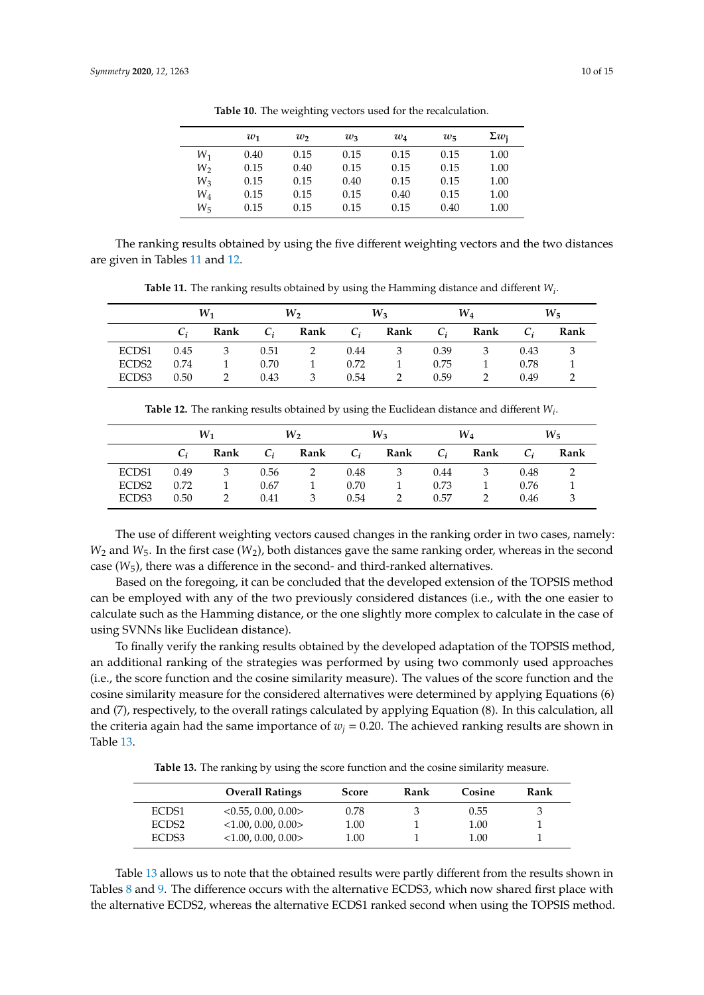<span id="page-9-0"></span>

|                | $w_1$ | $w_2$ | $w_3$ | $w_4$ | $w_{5}$ | $\sum w_i$ |
|----------------|-------|-------|-------|-------|---------|------------|
| $W_1$          | 0.40  | 0.15  | 0.15  | 0.15  | 0.15    | 1.00       |
| W <sub>2</sub> | 0.15  | 0.40  | 0.15  | 0.15  | 0.15    | 1.00       |
| $W_3$          | 0.15  | 0.15  | 0.40  | 0.15  | 0.15    | 1.00       |
| $W_{4}$        | 0.15  | 0.15  | 0.15  | 0.40  | 0.15    | 1.00       |
| Wҕ             | 0.15  | 0.15  | 0.15  | 0.15  | 0.40    | 1.00       |

**Table 10.** The weighting vectors used for the recalculation.

The ranking results obtained by using the five different weighting vectors and the two distances are given in Tables [11](#page-9-1) and [12.](#page-9-2)

**Table 11.** The ranking results obtained by using the Hamming distance and different *W<sup>i</sup>* .

<span id="page-9-1"></span>

|       | $W_2$<br>$W_1$ |      | $W_3$ |              | $W_{4}$ |                         | $W_{\overline{2}}$ |                         |       |      |
|-------|----------------|------|-------|--------------|---------|-------------------------|--------------------|-------------------------|-------|------|
|       | $C_i$          | Rank | $C_i$ | Rank         |         | $C_i$ Rank $C_i$        |                    | Rank                    | $C_i$ | Rank |
| ECDS1 | $0.45$ 3       |      | 0.51  | 2            | 0.44    | $\overline{\mathbf{3}}$ | 0.39               | $\overline{\mathbf{3}}$ | 0.43  |      |
| ECDS2 | 0.74           |      | 0.70  | $\mathbf{1}$ | 0.72    |                         | 0.75               | $\mathbf{1}$            | 0.78  |      |
| ECDS3 | 0.50           |      | 0.43  | 3            | 0.54    | 2                       | 0.59               | 2                       | 0.49  |      |

**Table 12.** The ranking results obtained by using the Euclidean distance and different *W<sup>i</sup>* .

<span id="page-9-2"></span>

|       |       | $W_1$                      |       | $W_2$          |      | $W_3$               |      | $W_4$                   |       | $W_{\overline{2}}$ |
|-------|-------|----------------------------|-------|----------------|------|---------------------|------|-------------------------|-------|--------------------|
|       | $C_i$ | Rank                       | $C_i$ | Rank $C_i$     |      | Rank C <sub>i</sub> |      | Rank                    | $C_i$ | Rank               |
| ECDS1 | 0.49  | $\overline{\phantom{a}}^3$ | 0.56  | 2              | 0.48 | 3                   | 0.44 | $\overline{\mathbf{3}}$ | 0.48  |                    |
| ECDS2 | 0.72  |                            | 0.67  | $\overline{1}$ | 0.70 | 1                   | 0.73 | $\mathbf{1}$            | 0.76  |                    |
| ECDS3 | 0.50  | 2                          | 0.41  | 3              | 0.54 | 2                   | 0.57 | 2                       | 0.46  |                    |

The use of different weighting vectors caused changes in the ranking order in two cases, namely: *W*<sup>2</sup> and *W*5. In the first case (*W*2), both distances gave the same ranking order, whereas in the second case  $(W_5)$ , there was a difference in the second- and third-ranked alternatives.

Based on the foregoing, it can be concluded that the developed extension of the TOPSIS method can be employed with any of the two previously considered distances (i.e., with the one easier to calculate such as the Hamming distance, or the one slightly more complex to calculate in the case of using SVNNs like Euclidean distance).

To finally verify the ranking results obtained by the developed adaptation of the TOPSIS method, an additional ranking of the strategies was performed by using two commonly used approaches (i.e., the score function and the cosine similarity measure). The values of the score function and the cosine similarity measure for the considered alternatives were determined by applying Equations (6) and (7), respectively, to the overall ratings calculated by applying Equation (8). In this calculation, all the criteria again had the same importance of  $w_j = 0.20$ . The achieved ranking results are shown in Table [13.](#page-9-3)

**Table 13.** The ranking by using the score function and the cosine similarity measure.

<span id="page-9-3"></span>

|                   | <b>Overall Ratings</b>   | Score | Rank | Cosine | Rank |
|-------------------|--------------------------|-------|------|--------|------|
| ECDS1             | < 0.55, 0.00, 0.00 >     | 0.78  |      | 0.55   |      |
| ECDS <sub>2</sub> | $<$ 1.00, 0.00, 0.00 $>$ | 1.00  |      | 1.00   |      |
| ECDS3             | $<$ 1.00, 0.00, 0.00 $>$ | 1.00  |      | 1.00   |      |

Table [13](#page-9-3) allows us to note that the obtained results were partly different from the results shown in Tables [8](#page-8-3) and [9.](#page-8-4) The difference occurs with the alternative ECDS3, which now shared first place with the alternative ECDS2, whereas the alternative ECDS1 ranked second when using the TOPSIS method.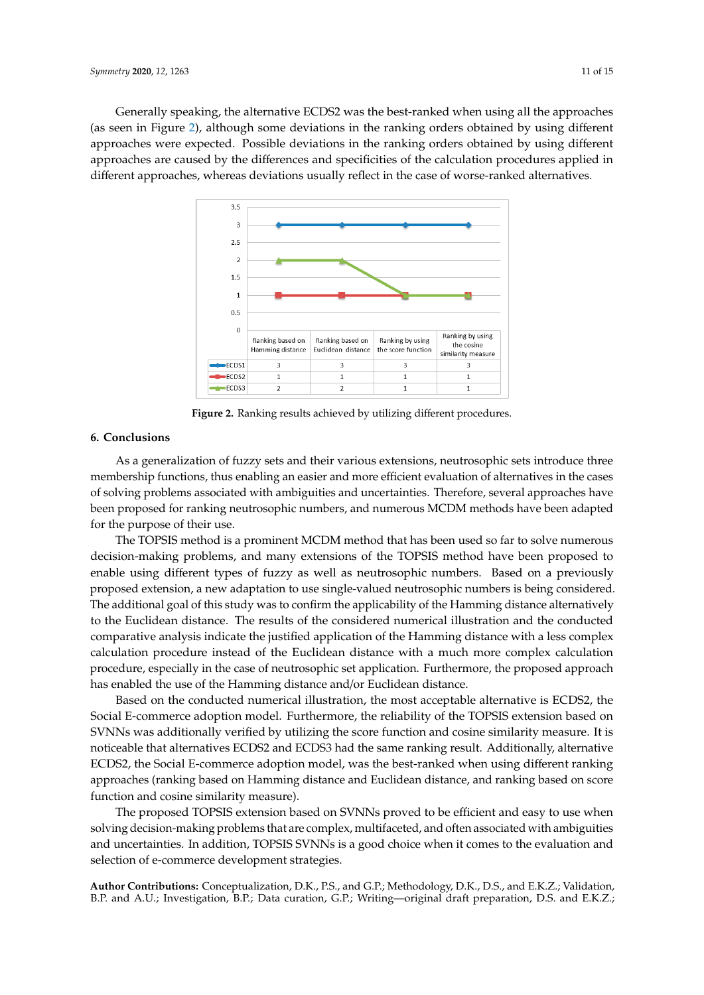<span id="page-10-0"></span>Generally speaking, the alternative ECDS2 was the best-ranked when using all the approaches Generally speaking, the alternative ECDS2 was the best-ranked when using all the approaches (as seen in Figure [2\)](#page-10-0), although some deviations in the ranking orders obtained by using different (as seen in Figure 2), although some deviations in the ranking orders obtained by using different approaches were expected. Possible deviations in the ranking orders obtained by using different approaches were expected. Possible deviations in the ranking orders obtained by using different approaches are caused by the differences and specificities of the calculation procedures applied in approaches are caused by the differences and specificities of the calculation procedures applied in different approaches, whereas deviations usually reflect in the case of worse-ranked alternatives. different approaches, whereas deviations usually reflect in the case of worse-ranked alternatives.



**Figure 2.** Ranking results achieved by utilizing different procedures. **Figure 2.** Ranking results achieved by utilizing different procedures.

# **6. Conclusions**

**6. Conclusions**  membership functions, thus enabling an easier and more efficient evaluation of alternatives in the cases of solving problems associated with ambiguities and uncertainties. Therefore, several approaches have been proposed for ranking neutrosophic numbers, and numerous MCDM methods have been adapted for the purpose of their use. As a generalization of fuzzy sets and their various extensions, neutrosophic sets introduce three

The TOPSIS method is a prominent MCDM method that has been used so far to solve numerous decision-making problems, and many extensions of the TOPSIS method have been proposed to enable using different types of fuzzy as well as neutrosophic numbers. Based on a previously proposed extension, a new adaptation to use single-valued neutrosophic numbers is being considered. The additional goal of this study was to confirm the applicability of the Hamming distance alternatively to the Euclidean distance. The results of the considered numerical illustration and the conducted comparative analysis indicate the justified application of the Hamming distance with a less complex calculation procedure instead of the Euclidean distance with a much more complex calculation procedure, especially in the case of neutrosophic set application. Furthermore, the proposed approach has enabled the use of the Hamming distance and/or Euclidean distance.

Based on the conducted numerical illustration, the most acceptable alternative is ECDS2, the Social E-commerce adoption model. Furthermore, the reliability of the TOPSIS extension based on SVNNs was additionally verified by utilizing the score function and cosine similarity measure. It is noticeable that alternatives ECDS2 and ECDS3 had the same ranking result. Additionally, alternative ECDS2, the Social E-commerce adoption model, was the best-ranked when using different ranking approaches (ranking based on Hamming distance and Euclidean distance, and ranking based on score function and cosine similarity measure).

The proposed TOPSIS extension based on SVNNs proved to be efficient and easy to use when solving decision-making problems that are complex, multifaceted, and often associated with ambiguities and uncertainties. In addition, TOPSIS SVNNs is a good choice when it comes to the evaluation and selection of e-commerce development strategies.

**Author Contributions:** Conceptualization, D.K., P.S., and G.P.; Methodology, D.K., D.S., and E.K.Z.; Validation, B.P. and A.U.; Investigation, B.P.; Data curation, G.P.; Writing—original draft preparation, D.S. and E.K.Z.;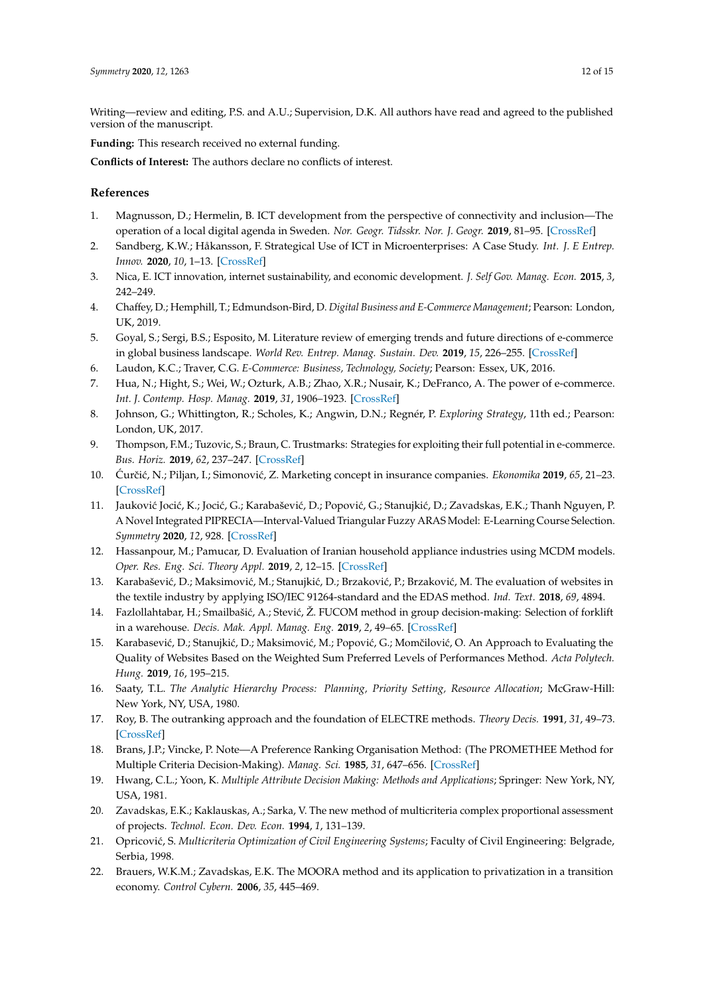Writing—review and editing, P.S. and A.U.; Supervision, D.K. All authors have read and agreed to the published version of the manuscript.

**Funding:** This research received no external funding.

**Conflicts of Interest:** The authors declare no conflicts of interest.

#### **References**

- <span id="page-11-0"></span>1. Magnusson, D.; Hermelin, B. ICT development from the perspective of connectivity and inclusion—The operation of a local digital agenda in Sweden. *Nor. Geogr. Tidsskr. Nor. J. Geogr.* **2019**, 81–95. [\[CrossRef\]](http://dx.doi.org/10.1080/00291951.2019.1596153)
- <span id="page-11-1"></span>2. Sandberg, K.W.; Håkansson, F. Strategical Use of ICT in Microenterprises: A Case Study. *Int. J. E Entrep. Innov.* **2020**, *10*, 1–13. [\[CrossRef\]](http://dx.doi.org/10.4018/IJEEI.2020010101)
- <span id="page-11-2"></span>3. Nica, E. ICT innovation, internet sustainability, and economic development. *J. Self Gov. Manag. Econ.* **2015**, *3*, 242–249.
- <span id="page-11-3"></span>4. Chaffey, D.; Hemphill, T.; Edmundson-Bird, D. *Digital Business and E-Commerce Management*; Pearson: London, UK, 2019.
- <span id="page-11-4"></span>5. Goyal, S.; Sergi, B.S.; Esposito, M. Literature review of emerging trends and future directions of e-commerce in global business landscape. *World Rev. Entrep. Manag. Sustain. Dev.* **2019**, *15*, 226–255. [\[CrossRef\]](http://dx.doi.org/10.1504/WREMSD.2019.098454)
- <span id="page-11-5"></span>6. Laudon, K.C.; Traver, C.G. *E-Commerce: Business, Technology, Society*; Pearson: Essex, UK, 2016.
- <span id="page-11-6"></span>7. Hua, N.; Hight, S.; Wei, W.; Ozturk, A.B.; Zhao, X.R.; Nusair, K.; DeFranco, A. The power of e-commerce. *Int. J. Contemp. Hosp. Manag.* **2019**, *31*, 1906–1923. [\[CrossRef\]](http://dx.doi.org/10.1108/IJCHM-02-2018-0168)
- <span id="page-11-7"></span>8. Johnson, G.; Whittington, R.; Scholes, K.; Angwin, D.N.; Regnér, P. *Exploring Strategy*, 11th ed.; Pearson: London, UK, 2017.
- <span id="page-11-8"></span>9. Thompson, F.M.; Tuzovic, S.; Braun, C. Trustmarks: Strategies for exploiting their full potential in e-commerce. *Bus. Horiz.* **2019**, *62*, 237–247. [\[CrossRef\]](http://dx.doi.org/10.1016/j.bushor.2018.09.004)
- <span id="page-11-9"></span>10. Curˇci´c, N.; Piljan, I.; Simonovi´c, Z. Marketing concept in insurance companies. ´ *Ekonomika* **2019**, *65*, 21–23. [\[CrossRef\]](http://dx.doi.org/10.5937/ekonomika1903021C)
- <span id="page-11-10"></span>11. Jauković Jocić, K.; Jocić, G.; Karabašević, D.; Popović, G.; Stanujkić, D.; Zavadskas, E.K.; Thanh Nguyen, P. A Novel Integrated PIPRECIA—Interval-Valued Triangular Fuzzy ARAS Model: E-Learning Course Selection. *Symmetry* **2020**, *12*, 928. [\[CrossRef\]](http://dx.doi.org/10.3390/sym12060928)
- 12. Hassanpour, M.; Pamucar, D. Evaluation of Iranian household appliance industries using MCDM models. *Oper. Res. Eng. Sci. Theory Appl.* **2019**, *2*, 12–15. [\[CrossRef\]](http://dx.doi.org/10.31181/oresta1903001h)
- <span id="page-11-11"></span>13. Karabašević, D.; Maksimović, M.; Stanujkić, D.; Brzaković, P.; Brzaković, M. The evaluation of websites in the textile industry by applying ISO/IEC 91264-standard and the EDAS method. *Ind. Text.* **2018**, *69*, 4894.
- <span id="page-11-12"></span>14. Fazlollahtabar, H.; Smailbašić, A.; Stević, Ž. FUCOM method in group decision-making: Selection of forklift in a warehouse. *Decis. Mak. Appl. Manag. Eng.* **2019**, *2*, 49–65. [\[CrossRef\]](http://dx.doi.org/10.31181/dmame1901065f)
- <span id="page-11-13"></span>15. Karabasević, D.; Stanujkić, D.; Maksimović, M.; Popović, G.; Momčilović, O. An Approach to Evaluating the Quality of Websites Based on the Weighted Sum Preferred Levels of Performances Method. *Acta Polytech. Hung.* **2019**, *16*, 195–215.
- <span id="page-11-14"></span>16. Saaty, T.L. *The Analytic Hierarchy Process: Planning, Priority Setting, Resource Allocation*; McGraw-Hill: New York, NY, USA, 1980.
- <span id="page-11-15"></span>17. Roy, B. The outranking approach and the foundation of ELECTRE methods. *Theory Decis.* **1991**, *31*, 49–73. [\[CrossRef\]](http://dx.doi.org/10.1007/BF00134132)
- <span id="page-11-16"></span>18. Brans, J.P.; Vincke, P. Note—A Preference Ranking Organisation Method: (The PROMETHEE Method for Multiple Criteria Decision-Making). *Manag. Sci.* **1985**, *31*, 647–656. [\[CrossRef\]](http://dx.doi.org/10.1287/mnsc.31.6.647)
- <span id="page-11-17"></span>19. Hwang, C.L.; Yoon, K. *Multiple Attribute Decision Making: Methods and Applications*; Springer: New York, NY, USA, 1981.
- <span id="page-11-18"></span>20. Zavadskas, E.K.; Kaklauskas, A.; Sarka, V. The new method of multicriteria complex proportional assessment of projects. *Technol. Econ. Dev. Econ.* **1994**, *1*, 131–139.
- <span id="page-11-19"></span>21. Opricović, S. *Multicriteria Optimization of Civil Engineering Systems*; Faculty of Civil Engineering: Belgrade, Serbia, 1998.
- <span id="page-11-20"></span>22. Brauers, W.K.M.; Zavadskas, E.K. The MOORA method and its application to privatization in a transition economy. *Control Cybern.* **2006**, *35*, 445–469.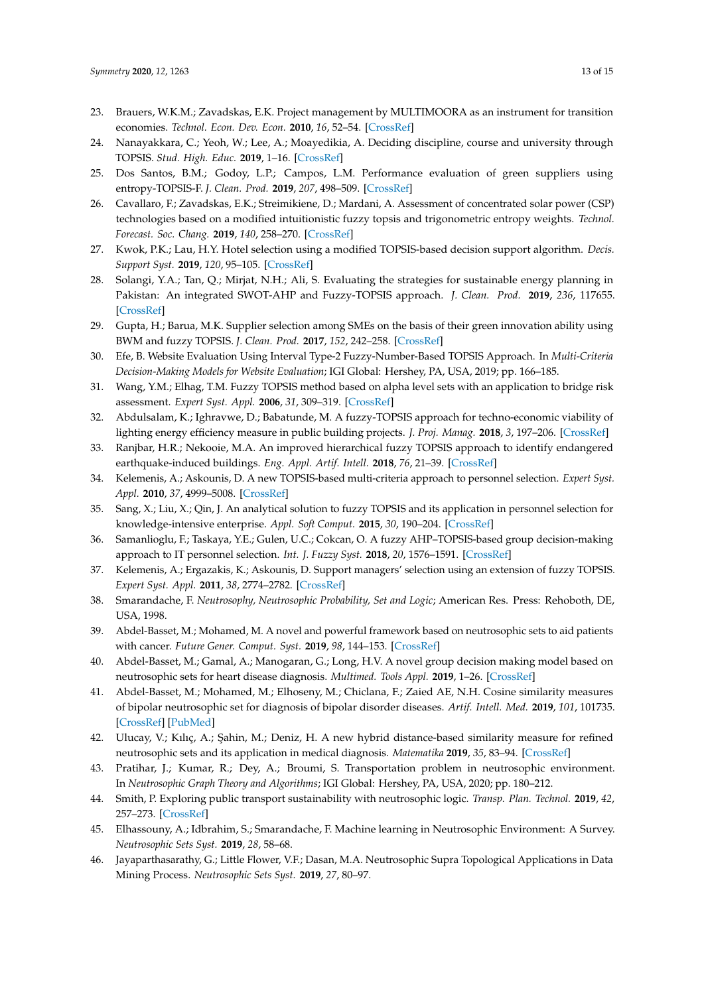- <span id="page-12-0"></span>23. Brauers, W.K.M.; Zavadskas, E.K. Project management by MULTIMOORA as an instrument for transition economies. *Technol. Econ. Dev. Econ.* **2010**, *16*, 52–54. [\[CrossRef\]](http://dx.doi.org/10.3846/tede.2010.01)
- <span id="page-12-1"></span>24. Nanayakkara, C.; Yeoh, W.; Lee, A.; Moayedikia, A. Deciding discipline, course and university through TOPSIS. *Stud. High. Educ.* **2019**, 1–16. [\[CrossRef\]](http://dx.doi.org/10.1080/03075079.2019.1616171)
- <span id="page-12-2"></span>25. Dos Santos, B.M.; Godoy, L.P.; Campos, L.M. Performance evaluation of green suppliers using entropy-TOPSIS-F. *J. Clean. Prod.* **2019**, *207*, 498–509. [\[CrossRef\]](http://dx.doi.org/10.1016/j.jclepro.2018.09.235)
- <span id="page-12-3"></span>26. Cavallaro, F.; Zavadskas, E.K.; Streimikiene, D.; Mardani, A. Assessment of concentrated solar power (CSP) technologies based on a modified intuitionistic fuzzy topsis and trigonometric entropy weights. *Technol. Forecast. Soc. Chang.* **2019**, *140*, 258–270. [\[CrossRef\]](http://dx.doi.org/10.1016/j.techfore.2018.12.009)
- <span id="page-12-4"></span>27. Kwok, P.K.; Lau, H.Y. Hotel selection using a modified TOPSIS-based decision support algorithm. *Decis. Support Syst.* **2019**, *120*, 95–105. [\[CrossRef\]](http://dx.doi.org/10.1016/j.dss.2019.02.004)
- <span id="page-12-5"></span>28. Solangi, Y.A.; Tan, Q.; Mirjat, N.H.; Ali, S. Evaluating the strategies for sustainable energy planning in Pakistan: An integrated SWOT-AHP and Fuzzy-TOPSIS approach. *J. Clean. Prod.* **2019**, *236*, 117655. [\[CrossRef\]](http://dx.doi.org/10.1016/j.jclepro.2019.117655)
- <span id="page-12-6"></span>29. Gupta, H.; Barua, M.K. Supplier selection among SMEs on the basis of their green innovation ability using BWM and fuzzy TOPSIS. *J. Clean. Prod.* **2017**, *152*, 242–258. [\[CrossRef\]](http://dx.doi.org/10.1016/j.jclepro.2017.03.125)
- <span id="page-12-7"></span>30. Efe, B. Website Evaluation Using Interval Type-2 Fuzzy-Number-Based TOPSIS Approach. In *Multi-Criteria Decision-Making Models for Website Evaluation*; IGI Global: Hershey, PA, USA, 2019; pp. 166–185.
- <span id="page-12-8"></span>31. Wang, Y.M.; Elhag, T.M. Fuzzy TOPSIS method based on alpha level sets with an application to bridge risk assessment. *Expert Syst. Appl.* **2006**, *31*, 309–319. [\[CrossRef\]](http://dx.doi.org/10.1016/j.eswa.2005.09.040)
- 32. Abdulsalam, K.; Ighravwe, D.; Babatunde, M. A fuzzy-TOPSIS approach for techno-economic viability of lighting energy efficiency measure in public building projects. *J. Proj. Manag.* **2018**, *3*, 197–206. [\[CrossRef\]](http://dx.doi.org/10.5267/j.jpm.2018.4.001)
- <span id="page-12-9"></span>33. Ranjbar, H.R.; Nekooie, M.A. An improved hierarchical fuzzy TOPSIS approach to identify endangered earthquake-induced buildings. *Eng. Appl. Artif. Intell.* **2018**, *76*, 21–39. [\[CrossRef\]](http://dx.doi.org/10.1016/j.engappai.2018.08.007)
- <span id="page-12-10"></span>34. Kelemenis, A.; Askounis, D. A new TOPSIS-based multi-criteria approach to personnel selection. *Expert Syst. Appl.* **2010**, *37*, 4999–5008. [\[CrossRef\]](http://dx.doi.org/10.1016/j.eswa.2009.12.013)
- 35. Sang, X.; Liu, X.; Qin, J. An analytical solution to fuzzy TOPSIS and its application in personnel selection for knowledge-intensive enterprise. *Appl. Soft Comput.* **2015**, *30*, 190–204. [\[CrossRef\]](http://dx.doi.org/10.1016/j.asoc.2015.01.002)
- 36. Samanlioglu, F.; Taskaya, Y.E.; Gulen, U.C.; Cokcan, O. A fuzzy AHP–TOPSIS-based group decision-making approach to IT personnel selection. *Int. J. Fuzzy Syst.* **2018**, *20*, 1576–1591. [\[CrossRef\]](http://dx.doi.org/10.1007/s40815-018-0474-7)
- <span id="page-12-11"></span>37. Kelemenis, A.; Ergazakis, K.; Askounis, D. Support managers' selection using an extension of fuzzy TOPSIS. *Expert Syst. Appl.* **2011**, *38*, 2774–2782. [\[CrossRef\]](http://dx.doi.org/10.1016/j.eswa.2010.08.068)
- <span id="page-12-12"></span>38. Smarandache, F. *Neutrosophy, Neutrosophic Probability, Set and Logic*; American Res. Press: Rehoboth, DE, USA, 1998.
- <span id="page-12-13"></span>39. Abdel-Basset, M.; Mohamed, M. A novel and powerful framework based on neutrosophic sets to aid patients with cancer. *Future Gener. Comput. Syst.* **2019**, *98*, 144–153. [\[CrossRef\]](http://dx.doi.org/10.1016/j.future.2018.12.019)
- 40. Abdel-Basset, M.; Gamal, A.; Manogaran, G.; Long, H.V. A novel group decision making model based on neutrosophic sets for heart disease diagnosis. *Multimed. Tools Appl.* **2019**, 1–26. [\[CrossRef\]](http://dx.doi.org/10.1007/s11042-019-07742-7)
- 41. Abdel-Basset, M.; Mohamed, M.; Elhoseny, M.; Chiclana, F.; Zaied AE, N.H. Cosine similarity measures of bipolar neutrosophic set for diagnosis of bipolar disorder diseases. *Artif. Intell. Med.* **2019**, *101*, 101735. [\[CrossRef\]](http://dx.doi.org/10.1016/j.artmed.2019.101735) [\[PubMed\]](http://www.ncbi.nlm.nih.gov/pubmed/31813487)
- <span id="page-12-14"></span>42. Ulucay, V.; Kılıç, A.; Şahin, M.; Deniz, H. A new hybrid distance-based similarity measure for refined neutrosophic sets and its application in medical diagnosis. *Matematika* **2019**, *35*, 83–94. [\[CrossRef\]](http://dx.doi.org/10.11113/matematika.v35.n1.1063)
- <span id="page-12-15"></span>43. Pratihar, J.; Kumar, R.; Dey, A.; Broumi, S. Transportation problem in neutrosophic environment. In *Neutrosophic Graph Theory and Algorithms*; IGI Global: Hershey, PA, USA, 2020; pp. 180–212.
- <span id="page-12-16"></span>44. Smith, P. Exploring public transport sustainability with neutrosophic logic. *Transp. Plan. Technol.* **2019**, *42*, 257–273. [\[CrossRef\]](http://dx.doi.org/10.1080/03081060.2019.1576383)
- <span id="page-12-17"></span>45. Elhassouny, A.; Idbrahim, S.; Smarandache, F. Machine learning in Neutrosophic Environment: A Survey. *Neutrosophic Sets Syst.* **2019**, *28*, 58–68.
- 46. Jayaparthasarathy, G.; Little Flower, V.F.; Dasan, M.A. Neutrosophic Supra Topological Applications in Data Mining Process. *Neutrosophic Sets Syst.* **2019**, *27*, 80–97.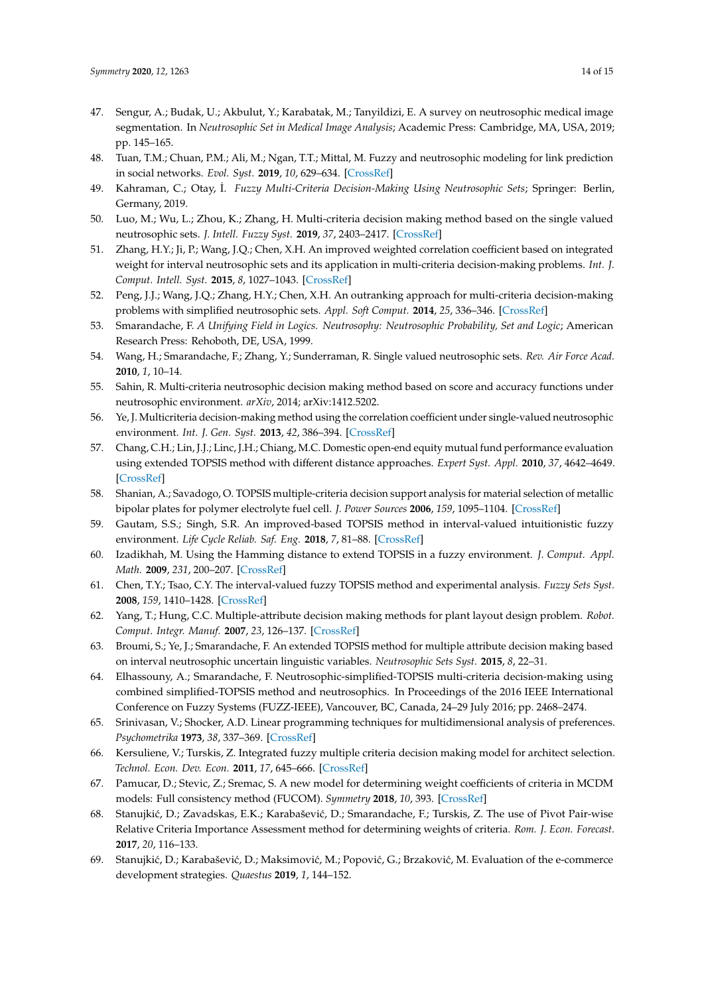- <span id="page-13-0"></span>47. Sengur, A.; Budak, U.; Akbulut, Y.; Karabatak, M.; Tanyildizi, E. A survey on neutrosophic medical image segmentation. In *Neutrosophic Set in Medical Image Analysis*; Academic Press: Cambridge, MA, USA, 2019; pp. 145–165.
- <span id="page-13-1"></span>48. Tuan, T.M.; Chuan, P.M.; Ali, M.; Ngan, T.T.; Mittal, M. Fuzzy and neutrosophic modeling for link prediction in social networks. *Evol. Syst.* **2019**, *10*, 629–634. [\[CrossRef\]](http://dx.doi.org/10.1007/s12530-018-9251-y)
- 49. Kahraman, C.; Otay, ˙I. *Fuzzy Multi-Criteria Decision-Making Using Neutrosophic Sets*; Springer: Berlin, Germany, 2019.
- 50. Luo, M.; Wu, L.; Zhou, K.; Zhang, H. Multi-criteria decision making method based on the single valued neutrosophic sets. *J. Intell. Fuzzy Syst.* **2019**, *37*, 2403–2417. [\[CrossRef\]](http://dx.doi.org/10.3233/JIFS-182723)
- 51. Zhang, H.Y.; Ji, P.; Wang, J.Q.; Chen, X.H. An improved weighted correlation coefficient based on integrated weight for interval neutrosophic sets and its application in multi-criteria decision-making problems. *Int. J. Comput. Intell. Syst.* **2015**, *8*, 1027–1043. [\[CrossRef\]](http://dx.doi.org/10.1080/18756891.2015.1099917)
- <span id="page-13-2"></span>52. Peng, J.J.; Wang, J.Q.; Zhang, H.Y.; Chen, X.H. An outranking approach for multi-criteria decision-making problems with simplified neutrosophic sets. *Appl. Soft Comput.* **2014**, *25*, 336–346. [\[CrossRef\]](http://dx.doi.org/10.1016/j.asoc.2014.08.070)
- <span id="page-13-3"></span>53. Smarandache, F. *A Unifying Field in Logics. Neutrosophy: Neutrosophic Probability, Set and Logic*; American Research Press: Rehoboth, DE, USA, 1999.
- <span id="page-13-4"></span>54. Wang, H.; Smarandache, F.; Zhang, Y.; Sunderraman, R. Single valued neutrosophic sets. *Rev. Air Force Acad.* **2010**, *1*, 10–14.
- <span id="page-13-5"></span>55. Sahin, R. Multi-criteria neutrosophic decision making method based on score and accuracy functions under neutrosophic environment. *arXiv*, 2014; arXiv:1412.5202.
- <span id="page-13-6"></span>56. Ye, J. Multicriteria decision-making method using the correlation coefficient under single-valued neutrosophic environment. *Int. J. Gen. Syst.* **2013**, *42*, 386–394. [\[CrossRef\]](http://dx.doi.org/10.1080/03081079.2012.761609)
- <span id="page-13-7"></span>57. Chang, C.H.; Lin, J.J.; Linc, J.H.; Chiang, M.C. Domestic open-end equity mutual fund performance evaluation using extended TOPSIS method with different distance approaches. *Expert Syst. Appl.* **2010**, *37*, 4642–4649. [\[CrossRef\]](http://dx.doi.org/10.1016/j.eswa.2009.12.044)
- <span id="page-13-8"></span>58. Shanian, A.; Savadogo, O. TOPSIS multiple-criteria decision support analysis for material selection of metallic bipolar plates for polymer electrolyte fuel cell. *J. Power Sources* **2006**, *159*, 1095–1104. [\[CrossRef\]](http://dx.doi.org/10.1016/j.jpowsour.2005.12.092)
- <span id="page-13-9"></span>59. Gautam, S.S.; Singh, S.R. An improved-based TOPSIS method in interval-valued intuitionistic fuzzy environment. *Life Cycle Reliab. Saf. Eng.* **2018**, *7*, 81–88. [\[CrossRef\]](http://dx.doi.org/10.1007/s41872-018-0042-z)
- <span id="page-13-10"></span>60. Izadikhah, M. Using the Hamming distance to extend TOPSIS in a fuzzy environment. *J. Comput. Appl. Math.* **2009**, *231*, 200–207. [\[CrossRef\]](http://dx.doi.org/10.1016/j.cam.2009.02.102)
- <span id="page-13-11"></span>61. Chen, T.Y.; Tsao, C.Y. The interval-valued fuzzy TOPSIS method and experimental analysis. *Fuzzy Sets Syst.* **2008**, *159*, 1410–1428. [\[CrossRef\]](http://dx.doi.org/10.1016/j.fss.2007.11.004)
- <span id="page-13-12"></span>62. Yang, T.; Hung, C.C. Multiple-attribute decision making methods for plant layout design problem. *Robot. Comput. Integr. Manuf.* **2007**, *23*, 126–137. [\[CrossRef\]](http://dx.doi.org/10.1016/j.rcim.2005.12.002)
- <span id="page-13-13"></span>63. Broumi, S.; Ye, J.; Smarandache, F. An extended TOPSIS method for multiple attribute decision making based on interval neutrosophic uncertain linguistic variables. *Neutrosophic Sets Syst.* **2015**, *8*, 22–31.
- <span id="page-13-14"></span>64. Elhassouny, A.; Smarandache, F. Neutrosophic-simplified-TOPSIS multi-criteria decision-making using combined simplified-TOPSIS method and neutrosophics. In Proceedings of the 2016 IEEE International Conference on Fuzzy Systems (FUZZ-IEEE), Vancouver, BC, Canada, 24–29 July 2016; pp. 2468–2474.
- <span id="page-13-15"></span>65. Srinivasan, V.; Shocker, A.D. Linear programming techniques for multidimensional analysis of preferences. *Psychometrika* **1973**, *38*, 337–369. [\[CrossRef\]](http://dx.doi.org/10.1007/BF02291658)
- 66. Kersuliene, V.; Turskis, Z. Integrated fuzzy multiple criteria decision making model for architect selection. *Technol. Econ. Dev. Econ.* **2011**, *17*, 645–666. [\[CrossRef\]](http://dx.doi.org/10.3846/20294913.2011.635718)
- 67. Pamucar, D.; Stevic, Z.; Sremac, S. A new model for determining weight coefficients of criteria in MCDM models: Full consistency method (FUCOM). *Symmetry* **2018**, *10*, 393. [\[CrossRef\]](http://dx.doi.org/10.3390/sym10090393)
- <span id="page-13-16"></span>68. Stanujkić, D.; Zavadskas, E.K.; Karabašević, D.; Smarandache, F.; Turskis, Z. The use of Pivot Pair-wise Relative Criteria Importance Assessment method for determining weights of criteria. *Rom. J. Econ. Forecast.* **2017**, *20*, 116–133.
- <span id="page-13-17"></span>69. Stanujkić, D.; Karabašević, D.; Maksimović, M.; Popović, G.; Brzaković, M. Evaluation of the e-commerce development strategies. *Quaestus* **2019**, *1*, 144–152.